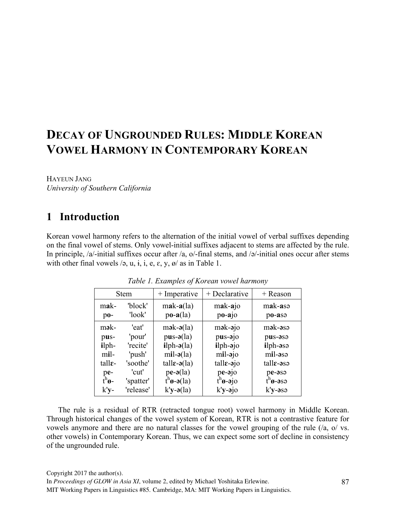# **DECAY OF UNGROUNDED RULES: MIDDLE KOREAN VOWEL HARMONY IN CONTEMPORARY KOREAN**

HAYEUN JANG *University of Southern California*

## **1** Introduction

Korean vowel harmony refers to the alternation of the initial vowel of verbal suffixes depending on the final vowel of stems. Only vowel-initial suffixes adjacent to stems are affected by the rule. In principle, /a/-initial suffixes occur after /a, o/-final stems, and /ə/-initial ones occur after stems with other final vowels  $\overline{z}$ , u, i, i, e,  $\overline{z}$ , y,  $\frac{\alpha}{a}$  as in Table 1.

| <b>Stem</b>                |                   | $+$ Imperative                        | $+$ Declarative                                | + Reason            |
|----------------------------|-------------------|---------------------------------------|------------------------------------------------|---------------------|
| mak-<br>$po-$              | 'block'<br>'look' | $mak-a(la)$<br>$po-a(la)$             | mak-ajo<br>$po-ajo$                            | mak-asə<br>po-asə   |
| mək-                       | 'eat'             | $mək-ə(la)$                           | $mək-əjo$                                      | mək-əsə             |
| pus-                       | 'pour'            | $pus-o(la)$                           | pus-ajo                                        | pus-asa             |
| $i$ lph-                   | 'recite'          | $i$ lph- $\mathfrak{d}(a)$            | <i>i</i> lph-ajo                               | ilph-əsə            |
| mil-                       | 'push'            | $mil-ə(la)$                           | mil-ajo                                        | mil-əsə             |
| $t$ all $\varepsilon$ -    | 'soothe'          | tall $\varepsilon$ - $\partial$ (la)  | $talle-ojo$                                    | $talle-$ asə        |
|                            | 'cut'             | $pe-a(la)$                            | $pe-qio$                                       | pe-asa              |
| $p_{h}$ <sup>h</sup> $g$ - | 'spatter'         | $t^n$ <b><i>o</i></b> - <b>ə</b> (la) | $t^h$ <b><math>\theta</math></b> - $\theta$ jo | $t^n$ <i>o</i> -əsə |
| k'y-                       | 'release'         | $k'y - a(1a)$                         | $k$ 'y-ə $jo$                                  | k'y-əsə             |

*Table 1. Examples of Korean vowel harmony*

The rule is a residual of RTR (retracted tongue root) vowel harmony in Middle Korean. Through historical changes of the vowel system of Korean, RTR is not a contrastive feature for vowels anymore and there are no natural classes for the vowel grouping of the rule (/a, o/ vs. other vowels) in Contemporary Korean. Thus, we can expect some sort of decline in consistency of the ungrounded rule.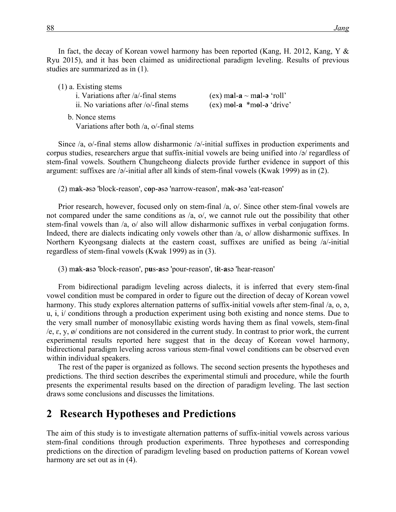In fact, the decay of Korean vowel harmony has been reported (Kang, H. 2012, Kang, Y & Ryu 2015), and it has been claimed as unidirectional paradigm leveling. Results of previous studies are summarized as in (1).

| $(1)$ a. Existing stems                                  |                                  |
|----------------------------------------------------------|----------------------------------|
| i. Variations after $/a$ -final stems                    | $(ex)$ mal-a $\sim$ mal-a 'roll' |
| ii. No variations after $\sqrt{\frac{6}{1}}$ final stems | $(ex)$ mol-a $*$ mol-a 'drive'   |
| b. Nonce stems                                           |                                  |

Variations after both /a, o/-final stems

Since  $\alpha$ , o/-final stems allow disharmonic  $\alpha$ -initial suffixes in production experiments and corpus studies, researchers argue that suffix-initial vowels are being unified into /ə/ regardless of stem-final vowels. Southern Chungcheong dialects provide further evidence in support of this argument: suffixes are /ə/-initial after all kinds of stem-final vowels (Kwak 1999) as in (2).

(2) m**a**k-**ə**sə 'block-reason', c**o**p-**ə**sə 'narrow-reason', m**ə**k-**ə**sə 'eat-reason'

Prior research, however, focused only on stem-final /a, o/. Since other stem-final vowels are not compared under the same conditions as /a, o/, we cannot rule out the possibility that other stem-final vowels than /a, o/ also will allow disharmonic suffixes in verbal conjugation forms. Indeed, there are dialects indicating only vowels other than /a, o/ allow disharmonic suffixes. In Northern Kyeongsang dialects at the eastern coast, suffixes are unified as being /a/-initial regardless of stem-final vowels (Kwak 1999) as in (3).

(3) m**a**k-**a**sə 'block-reason', p**u**s-**a**sə 'pour-reason', t**ɨ**t-**a**sə 'hear-reason'

From bidirectional paradigm leveling across dialects, it is inferred that every stem-final vowel condition must be compared in order to figure out the direction of decay of Korean vowel harmony. This study explores alternation patterns of suffix-initial vowels after stem-final /a, o,  $\phi$ , u, ɨ, i/ conditions through a production experiment using both existing and nonce stems. Due to the very small number of monosyllabic existing words having them as final vowels, stem-final  $/e$ ,  $\varepsilon$ ,  $y$ ,  $\omega$  conditions are not considered in the current study. In contrast to prior work, the current experimental results reported here suggest that in the decay of Korean vowel harmony, bidirectional paradigm leveling across various stem-final vowel conditions can be observed even within individual speakers.

The rest of the paper is organized as follows. The second section presents the hypotheses and predictions. The third section describes the experimental stimuli and procedure, while the fourth presents the experimental results based on the direction of paradigm leveling. The last section draws some conclusions and discusses the limitations.

## **2** Research Hypotheses and Predictions

The aim of this study is to investigate alternation patterns of suffix-initial vowels across various stem-final conditions through production experiments. Three hypotheses and corresponding predictions on the direction of paradigm leveling based on production patterns of Korean vowel harmony are set out as in (4).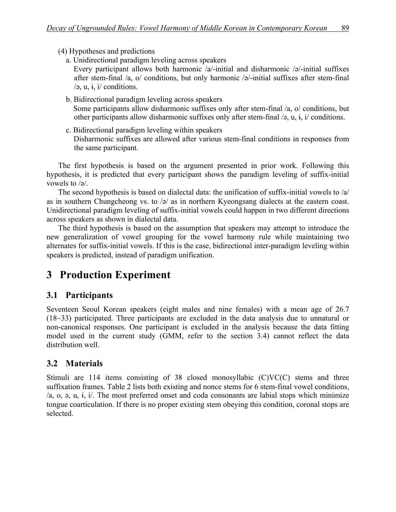(4) Hypotheses and predictions

- a. Unidirectional paradigm leveling across speakers Every participant allows both harmonic /a/-initial and disharmonic /ə/-initial suffixes after stem-final /a, o/ conditions, but only harmonic /ə/-initial suffixes after stem-final  $\sqrt{a}$ , u, i, i/ conditions.
- b. Bidirectional paradigm leveling across speakers Some participants allow disharmonic suffixes only after stem-final /a, o/ conditions, but other participants allow disharmonic suffixes only after stem-final  $\varphi$ , u,  $\varphi$ ,  $\varphi$  and  $\varphi$ .
- c. Bidirectional paradigm leveling within speakers Disharmonic suffixes are allowed after various stem-final conditions in responses from the same participant.

The first hypothesis is based on the argument presented in prior work. Following this hypothesis, it is predicted that every participant shows the paradigm leveling of suffix-initial vowels to /ə/.

The second hypothesis is based on dialectal data: the unification of suffix-initial vowels to /a/ as in southern Chungcheong vs. to /ə/ as in northern Kyeongsang dialects at the eastern coast. Unidirectional paradigm leveling of suffix-initial vowels could happen in two different directions across speakers as shown in dialectal data.

The third hypothesis is based on the assumption that speakers may attempt to introduce the new generalization of vowel grouping for the vowel harmony rule while maintaining two alternates for suffix-initial vowels. If this is the case, bidirectional inter-paradigm leveling within speakers is predicted, instead of paradigm unification.

## **3** Production Experiment

## **3.1 Participants**

Seventeen Seoul Korean speakers (eight males and nine females) with a mean age of 26.7 (18~33) participated. Three participants are excluded in the data analysis due to unnatural or non-canonical responses. One participant is excluded in the analysis because the data fitting model used in the current study (GMM, refer to the section 3.4) cannot reflect the data distribution well.

## **3.2 Materials**

Stimuli are 114 items consisting of 38 closed monosyllabic (C)VC(C) stems and three suffixation frames. Table 2 lists both existing and nonce stems for 6 stem-final vowel conditions, /a, o, ə, u, ɨ, i/. The most preferred onset and coda consonants are labial stops which minimize tongue coarticulation. If there is no proper existing stem obeying this condition, coronal stops are selected.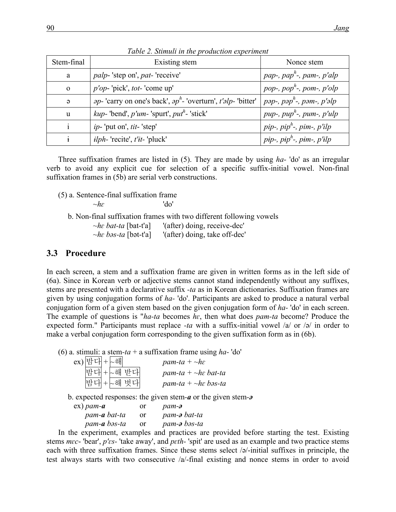| Stem-final | Existing stem                                                                | Nonce stem                                         |
|------------|------------------------------------------------------------------------------|----------------------------------------------------|
| a          | <i>palp</i> -'step on', <i>pat</i> -'receive'                                | pap-, pap <sup>h</sup> -, pam-, p'alp              |
| $\Omega$   | $p'op$ -'pick', tot-'come up'                                                | pop-, pop <sup><math>h</math></sup> -, pom-, p'olp |
| $\Theta$   | <i>ap</i> -'carry on one's back', $ap^h$ -'overturn', <i>t'alp</i> -'bitter' | $\mid$ pəp-, pəp $^h$ -, pəm-, p'əlp               |
| u          | <i>kup</i> -'bend', $p'$ um-'spurt', $put^h$ -'stick'                        | pup-, pup <sup>h</sup> -, pum-, p'ulp              |
|            | <i>ip</i> -'put on', <i>tit</i> -'step'                                      | pip-, pip <sup>h</sup> -, pim-, p'ilp              |
|            | $ilph$ -'recite', t'it-'pluck'                                               | pip-, pip <sup>h</sup> -, pim-, p'ilp              |

*Table 2. Stimuli in the production experiment*

Three suffixation frames are listed in (5). They are made by using *ha-* 'do' as an irregular verb to avoid any explicit cue for selection of a specific suffix-initial vowel. Non-final suffixation frames in (5b) are serial verb constructions.

(5) a. Sentence-final suffixation frame *~hɛ* 'do'

b. Non-final suffixation frames with two different following vowels

*~hɛ bat-ta* [bat-t'a] '(after) doing, receive-dec'

*~hɛ bəs-ta* [bət-t'a] '(after) doing, take off-dec'

#### **3.3 Procedure**

In each screen, a stem and a suffixation frame are given in written forms as in the left side of (6a). Since in Korean verb or adjective stems cannot stand independently without any suffixes, stems are presented with a declarative suffix *-ta* as in Korean dictionaries. Suffixation frames are given by using conjugation forms of *ha-* 'do'. Participants are asked to produce a natural verbal conjugation form of a given stem based on the given conjugation form of *ha-* 'do' in each screen. The example of questions is "*ha-ta* becomes *hɛ*, then what does *pam-ta* become? Produce the expected form." Participants must replace *-ta* with a suffix-initial vowel /a/ or /ə/ in order to make a verbal conjugation form corresponding to the given suffixation form as in (6b).

(6) a. stimuli: a stem*-ta* + a suffixation frame using *ha-* 'do'

| ex) 밤다+ ~해 |            | pam-ta + $\neg h\varepsilon$ |
|------------|------------|------------------------------|
|            | 밤다 + ~해 받다 | pam-ta + $\neg$ he bat-ta    |
|            | 밤다 + ~해 벗다 | pam-ta + $\neg$ he bəs-ta    |

b. expected responses: the given stem*-a* or the given stem*-ə*

| $ex)$ pam-a  | or | $p$ am- $\partial$ |
|--------------|----|--------------------|
| pam-a bat-ta | or | pam-a bat-ta       |
| pam-a bəs-ta | or | pam-a bəs-ta       |

In the experiment, examples and practices are provided before starting the test. Existing stems *mɛc*- 'bear', *p'ɛs-* 'take away', and *pɛth-* 'spit' are used as an example and two practice stems each with three suffixation frames. Since these stems select /ə/-initial suffixes in principle, the test always starts with two consecutive /a/-final existing and nonce stems in order to avoid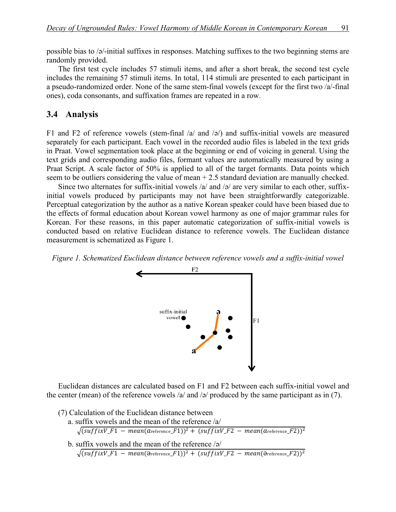possible bias to /ə/-initial suffixes in responses. Matching suffixes to the two beginning stems are randomly provided.

The first test cycle includes 57 stimuli items, and after a short break, the second test cycle includes the remaining 57 stimuli items. In total, 114 stimuli are presented to each participant in a pseudo-randomized order. None of the same stem-final vowels (except for the first two /a/-final ones), coda consonants, and suffixation frames are repeated in a row.

#### 3.4 Analysis

F1 and F2 of reference vowels (stem-final  $\alpha$  and  $\beta$ ) and suffix-initial vowels are measured separately for each participant. Each vowel in the recorded audio files is labeled in the text grids in Praat. Vowel segmentation took place at the beginning or end of voicing in general. Using the text grids and corresponding audio files, formant values are automatically measured by using a Praat Script. A scale factor of 50% is applied to all of the target formants. Data points which seem to be outliers considering the value of mean + 2.5 standard deviation are manually checked.

Since two alternates for suffix-initial vowels  $\alpha$  and  $\beta$  are very similar to each other, suffixinitial vowels produced by participants may not have been straightforwardly categorizable. Perceptual categorization by the author as a native Korean speaker could have been biased due to the effects of formal education about Korean vowel harmony as one of major grammar rules for Korean. For these reasons, in this paper automatic categorization of suffix-initial vowels is conducted based on relative Euclidean distance to reference vowels. The Euclidean distance measurement is schematized as Figure 1.

*Figure 1. Schematized Euclidean distance between reference vowels and a suffix-initial vowel*



Euclidean distances are calculated based on F1 and F2 between each suffix-initial vowel and the center (mean) of the reference vowels /a/ and /ə/ produced by the same participant as in (7).

|  |  |  |  | (7) Calculation of the Euclidean distance between |  |  |
|--|--|--|--|---------------------------------------------------|--|--|
|--|--|--|--|---------------------------------------------------|--|--|

 a. suffix vowels and the mean of the reference /a/  $(suffixV_F1 - mean(a_{\text{reference}}-F1))^2 + (suffixV_F2 - mean(a_{\text{reference}}-F2))^2$ b. suffix vowels and the mean of the reference /ə/

 $(suffixV_F1 - mean(\theta_{reference_F1}))^2 + (suffixV_F2 - mean(\theta_{reference_F2}))^2$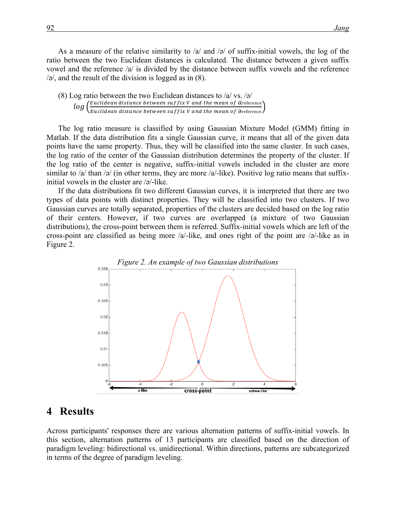As a measure of the relative similarity to  $\alpha$  and  $\beta$  of suffix-initial vowels, the log of the ratio between the two Euclidean distances is calculated. The distance between a given suffix vowel and the reference /a/ is divided by the distance between suffix vowels and the reference /ə/, and the result of the division is logged as in (8).

| (8) Log ratio between the two Euclidean distances to $/a$ vs. $/a$                                                                                                          |
|-----------------------------------------------------------------------------------------------------------------------------------------------------------------------------|
| $log\left(\frac{Euclidean\ distance\ between\ suffix\ V\ and\ the\ mean\ of\ A reference}{Euclidean\ distance\ between\ suffix\ V\ and\ the\ mean\ of\ B reference}\right)$ |
|                                                                                                                                                                             |

The log ratio measure is classified by using Gaussian Mixture Model (GMM) fitting in Matlab. If the data distribution fits a single Gaussian curve, it means that all of the given data points have the same property. Thus, they will be classified into the same cluster. In such cases, the log ratio of the center of the Gaussian distribution determines the property of the cluster. If the log ratio of the center is negative, suffix-initial vowels included in the cluster are more similar to /a/ than /ə/ (in other terms, they are more /a/-like). Positive log ratio means that suffixinitial vowels in the cluster are /ə/-like.

If the data distributions fit two different Gaussian curves, it is interpreted that there are two types of data points with distinct properties. They will be classified into two clusters. If two Gaussian curves are totally separated, properties of the clusters are decided based on the log ratio of their centers. However, if two curves are overlapped (a mixture of two Gaussian distributions), the cross-point between them is referred. Suffix-initial vowels which are left of the cross-point are classified as being more /a/-like, and ones right of the point are /ə/-like as in Figure 2.



### 4 **Results**

Across participants' responses there are various alternation patterns of suffix-initial vowels. In this section, alternation patterns of 13 participants are classified based on the direction of paradigm leveling: bidirectional vs. unidirectional. Within directions, patterns are subcategorized in terms of the degree of paradigm leveling.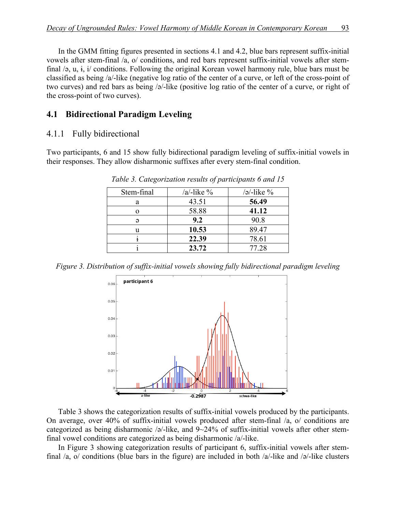In the GMM fitting figures presented in sections 4.1 and 4.2, blue bars represent suffix-initial vowels after stem-final /a, o/ conditions, and red bars represent suffix-initial vowels after stemfinal /ə, u, ɨ, i/ conditions. Following the original Korean vowel harmony rule, blue bars must be classified as being /a/-like (negative log ratio of the center of a curve, or left of the cross-point of two curves) and red bars as being /ə/-like (positive log ratio of the center of a curve, or right of the cross-point of two curves).

### **4.1 Bidirectional Paradigm Leveling**

#### 4.1.1 Fully bidirectional

Two participants, 6 and 15 show fully bidirectional paradigm leveling of suffix-initial vowels in their responses. They allow disharmonic suffixes after every stem-final condition.

| Stem-final | $/a$ -like % | $\sqrt{a^2-1}$ ike $\%$ |
|------------|--------------|-------------------------|
| a          | 43.51        | 56.49                   |
|            | 58.88        | 41.12                   |
| G          | 9.2          | 90.8                    |
| u          | 10.53        | 89.47                   |
|            | 22.39        | 78.61                   |
|            | 23.72        | 77.28                   |
|            |              |                         |

*Table 3. Categorization results of participants 6 and 15*

*Figure 3. Distribution of suffix-initial vowels showing fully bidirectional paradigm leveling*



Table 3 shows the categorization results of suffix-initial vowels produced by the participants. On average, over 40% of suffix-initial vowels produced after stem-final /a, o/ conditions are categorized as being disharmonic /ə/-like, and 9~24% of suffix-initial vowels after other stemfinal vowel conditions are categorized as being disharmonic /a/-like.

In Figure 3 showing categorization results of participant 6, suffix-initial vowels after stemfinal /a, o/ conditions (blue bars in the figure) are included in both /a/-like and /ə/-like clusters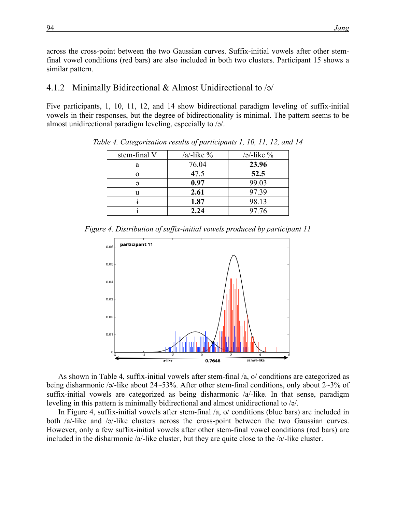across the cross-point between the two Gaussian curves. Suffix-initial vowels after other stemfinal vowel conditions (red bars) are also included in both two clusters. Participant 15 shows a similar pattern.

#### 4.1.2**xx**Minimally Bidirectional & Almost Unidirectional to /ə/

Five participants, 1, 10, 11, 12, and 14 show bidirectional paradigm leveling of suffix-initial vowels in their responses, but the degree of bidirectionality is minimal. The pattern seems to be almost unidirectional paradigm leveling, especially to /ə/.

| stem-final V | $/a$ -like % | $\frac{1}{2}$ -like $\%$ |
|--------------|--------------|--------------------------|
| a            | 76.04        | 23.96                    |
|              | 47.5         | 52.5                     |
|              | 0.97         | 99.03                    |
| u            | 2.61         | 97.39                    |
|              | 1.87         | 98.13                    |
|              | 2.24         | 97.76                    |

*Table 4. Categorization results of participants 1, 10, 11, 12, and 14*

*Figure 4. Distribution of suffix-initial vowels produced by participant 11*



As shown in Table 4, suffix-initial vowels after stem-final /a, o/ conditions are categorized as being disharmonic /ə/-like about 24~53%. After other stem-final conditions, only about 2~3% of suffix-initial vowels are categorized as being disharmonic /a/-like. In that sense, paradigm leveling in this pattern is minimally bidirectional and almost unidirectional to /ə/.

In Figure 4, suffix-initial vowels after stem-final /a, o/ conditions (blue bars) are included in both /a/-like and /ə/-like clusters across the cross-point between the two Gaussian curves. However, only a few suffix-initial vowels after other stem-final vowel conditions (red bars) are included in the disharmonic  $\alpha$ -like cluster, but they are quite close to the  $\alpha$ -like cluster.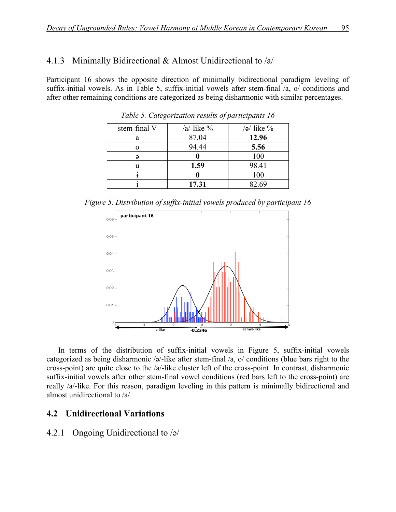#### 4.1.3**xx**Minimally Bidirectional & Almost Unidirectional to /a/

Participant 16 shows the opposite direction of minimally bidirectional paradigm leveling of suffix-initial vowels. As in Table 5, suffix-initial vowels after stem-final /a, o/ conditions and after other remaining conditions are categorized as being disharmonic with similar percentages.

| stem-final V | $/a$ -like % | $\sqrt{a^2-1}$ ike $\%$ |
|--------------|--------------|-------------------------|
| a            | 87.04        | 12.96                   |
|              | 94.44        | 5.56                    |
|              |              | 100                     |
| u            | 1.59         | 98.41                   |
|              |              | 100                     |
|              | 17.31        | 82.69                   |

*Table 5. Categorization results of participants 16*

*Figure 5. Distribution of suffix-initial vowels produced by participant 16*



In terms of the distribution of suffix-initial vowels in Figure 5, suffix-initial vowels categorized as being disharmonic /ə/-like after stem-final /a, o/ conditions (blue bars right to the cross-point) are quite close to the /a/-like cluster left of the cross-point. In contrast, disharmonic suffix-initial vowels after other stem-final vowel conditions (red bars left to the cross-point) are really /a/-like. For this reason, paradigm leveling in this pattern is minimally bidirectional and almost unidirectional to /a/.

#### **4.2 Unidirectional Variations**

#### 4.2.1**xx**Ongoing Unidirectional to /ə/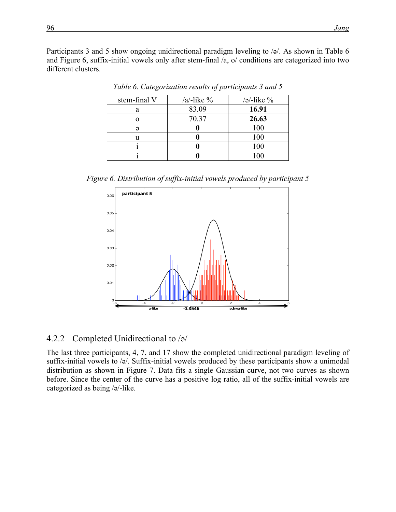Participants 3 and 5 show ongoing unidirectional paradigm leveling to  $\sqrt{2}$ . As shown in Table 6 and Figure 6, suffix-initial vowels only after stem-final /a, o/ conditions are categorized into two different clusters.

| stem-final V | $/a$ -like % | $\sqrt{a^2-1}$ ike $\%$ |
|--------------|--------------|-------------------------|
| a            | 83.09        | 16.91                   |
|              | 70.37        | 26.63                   |
|              |              | 100                     |
|              |              | 100                     |
|              |              | 100                     |
|              |              | 100                     |

*Table 6. Categorization results of participants 3 and 5*

*Figure 6. Distribution of suffix-initial vowels produced by participant 5*



#### 4.2.2**xx**Completed Unidirectional to /ə/

The last three participants, 4, 7, and 17 show the completed unidirectional paradigm leveling of suffix-initial vowels to /ə/. Suffix-initial vowels produced by these participants show a unimodal distribution as shown in Figure 7. Data fits a single Gaussian curve, not two curves as shown before. Since the center of the curve has a positive log ratio, all of the suffix-initial vowels are categorized as being /ə/-like.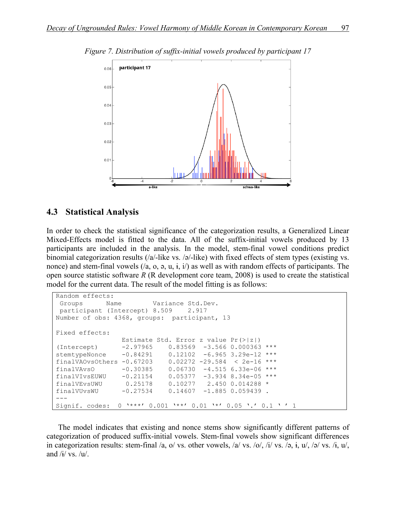

*Figure 7. Distribution of suffix-initial vowels produced by participant 17*

#### **4.3 Statistical Analysis**

In order to check the statistical significance of the categorization results, a Generalized Linear Mixed-Effects model is fitted to the data. All of the suffix-initial vowels produced by 13 participants are included in the analysis. In the model, stem-final vowel conditions predict binomial categorization results (/a/-like vs. /ə/-like) with fixed effects of stem types (existing vs. nonce) and stem-final vowels  $(2a, 0, a, u, i, i)$  as well as with random effects of participants. The open source statistic software *R* (R development core team, 2008) is used to create the statistical model for the current data. The result of the model fitting is as follows:

```
Random effects:
Groups Name Variance Std.Dev.
participant (Intercept) 8.509 2.917
Number of obs: 4368, groups: participant, 13
Fixed effects:
                Estimate Std. Error z value Pr(>|z|) 
(Intercept) -2.97965 0.83569 -3.566 0.000363 ***
stemtypeNonce -0.84291 0.12102 -6.965 3.29e-12 ***
finalVAOvsOthers -0.67203 0.02272 -29.584 < 2e-16 ***
finalVAvsO -0.30385 0.06730 -4.515 6.33e-06 ***
finalVIvsEUWU -0.21154 0.05377 -3.934 8.34e-05 ***
finalVEvsUWU 0.25178 0.10277 2.450 0.014288 * 
finalVUvsWU -0.27534 0.14607 -1.885 0.059439 . 
---
Signif. codes: 0 '***' 0.001 '**' 0.01 '*' 0.05 '.' 0.1 ' ' 1
```
The model indicates that existing and nonce stems show significantly different patterns of categorization of produced suffix-initial vowels. Stem-final vowels show significant differences in categorization results: stem-final /a, o/ vs. other vowels, /a/ vs. /o/, /i/ vs. /ə,  $\dot{\mathbf{i}}$ , u/, /ə/ vs. / $\dot{\mathbf{i}}$ , u/, and  $/i / vs. /u/$ .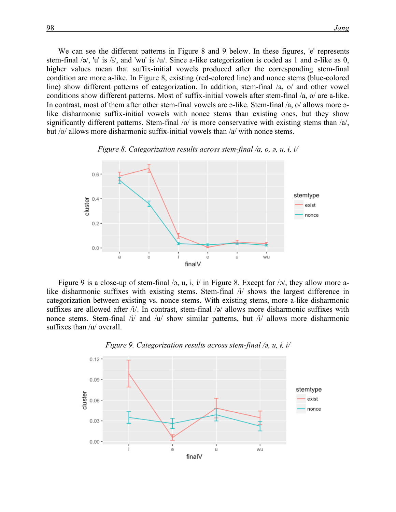We can see the different patterns in Figure 8 and 9 below. In these figures, 'e' represents stem-final /ə/, 'u' is /ɨ/, and 'wu' is /u/. Since a-like categorization is coded as 1 and ə-like as 0, higher values mean that suffix-initial vowels produced after the corresponding stem-final condition are more a-like. In Figure 8, existing (red-colored line) and nonce stems (blue-colored line) show different patterns of categorization. In addition, stem-final /a, o/ and other vowel conditions show different patterns. Most of suffix-initial vowels after stem-final /a, o/ are a-like. In contrast, most of them after other stem-final vowels are ə-like. Stem-final /a, o/ allows more əlike disharmonic suffix-initial vowels with nonce stems than existing ones, but they show significantly different patterns. Stem-final  $|o|$  is more conservative with existing stems than  $|a|$ , but /o/ allows more disharmonic suffix-initial vowels than /a/ with nonce stems.



*Figure 8. Categorization results across stem-final /a, o, ə, u, ɨ, i/*

Figure 9 is a close-up of stem-final  $\sqrt{9}$ , u, i, i/ in Figure 8. Except for  $\sqrt{9}$ , they allow more alike disharmonic suffixes with existing stems. Stem-final /i/ shows the largest difference in categorization between existing vs. nonce stems. With existing stems, more a-like disharmonic suffixes are allowed after /i/. In contrast, stem-final /ə/ allows more disharmonic suffixes with nonce stems. Stem-final /i/ and /u/ show similar patterns, but /i/ allows more disharmonic suffixes than /u/ overall.



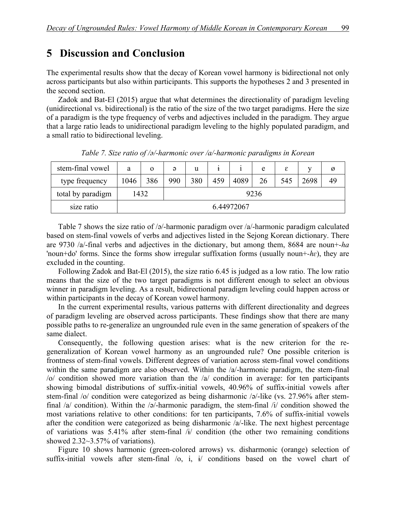## **5** Discussion and Conclusion

The experimental results show that the decay of Korean vowel harmony is bidirectional not only across participants but also within participants. This supports the hypotheses 2 and 3 presented in the second section.

Zadok and Bat-El (2015) argue that what determines the directionality of paradigm leveling (unidirectional vs. bidirectional) is the ratio of the size of the two target paradigms. Here the size of a paradigm is the type frequency of verbs and adjectives included in the paradigm. They argue that a large ratio leads to unidirectional paradigm leveling to the highly populated paradigm, and a small ratio to bidirectional leveling.

| stem-final vowel  | a    | $\Omega$ | ə   | u   |     |            | e    | ε   | v    | Ø  |
|-------------------|------|----------|-----|-----|-----|------------|------|-----|------|----|
| type frequency    | 1046 | 386      | 990 | 380 | 459 | 4089       | 26   | 545 | 2698 | 49 |
| total by paradigm |      | 1432     |     |     |     |            | 9236 |     |      |    |
| size ratio        |      |          |     |     |     | 6.44972067 |      |     |      |    |

*Table 7. Size ratio of /ə/-harmonic over /a/-harmonic paradigms in Korean*

Table 7 shows the size ratio of  $\sqrt{a}$ -harmonic paradigm over  $\sqrt{a}$ -harmonic paradigm calculated based on stem-final vowels of verbs and adjectives listed in the Sejong Korean dictionary. There are 9730 /a/-final verbs and adjectives in the dictionary, but among them, 8684 are noun+*-ha* 'noun+do' forms. Since the forms show irregular suffixation forms (usually noun+*-hɛ*), they are excluded in the counting.

Following Zadok and Bat-El (2015), the size ratio 6.45 is judged as a low ratio. The low ratio means that the size of the two target paradigms is not different enough to select an obvious winner in paradigm leveling. As a result, bidirectional paradigm leveling could happen across or within participants in the decay of Korean vowel harmony.

In the current experimental results, various patterns with different directionality and degrees of paradigm leveling are observed across participants. These findings show that there are many possible paths to re-generalize an ungrounded rule even in the same generation of speakers of the same dialect.

Consequently, the following question arises: what is the new criterion for the regeneralization of Korean vowel harmony as an ungrounded rule? One possible criterion is frontness of stem-final vowels. Different degrees of variation across stem-final vowel conditions within the same paradigm are also observed. Within the  $/a$ -harmonic paradigm, the stem-final /o/ condition showed more variation than the /a/ condition in average: for ten participants showing bimodal distributions of suffix-initial vowels, 40.96% of suffix-initial vowels after stem-final /o/ condition were categorized as being disharmonic /ə/-like (vs. 27.96% after stemfinal /a/ condition). Within the /ə/-harmonic paradigm, the stem-final /i/ condition showed the most variations relative to other conditions: for ten participants, 7.6% of suffix-initial vowels after the condition were categorized as being disharmonic /a/-like. The next highest percentage of variations was 5.41% after stem-final  $\tilde{A}$  condition (the other two remaining conditions showed 2.32~3.57% of variations).

Figure 10 shows harmonic (green-colored arrows) vs. disharmonic (orange) selection of suffix-initial vowels after stem-final /o, i, i/ conditions based on the vowel chart of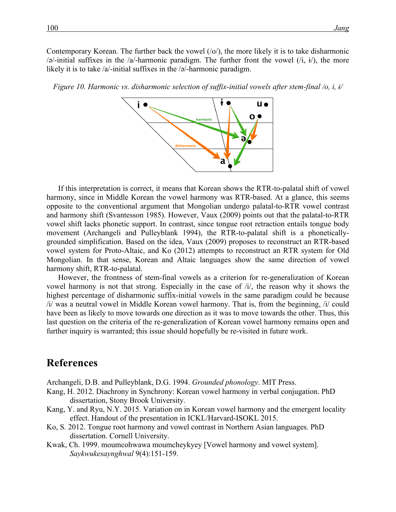Contemporary Korean. The further back the vowel  $(10)$ , the more likely it is to take disharmonic  $\sqrt{a}$ -initial suffixes in the  $\sqrt{a}$ -harmonic paradigm. The further front the vowel  $(i, i)$ , the more likely it is to take /a/-initial suffixes in the /ə/-harmonic paradigm.

*Figure 10. Harmonic vs. disharmonic selection of suffix-initial vowels after stem-final /o, i, i/* 



If this interpretation is correct, it means that Korean shows the RTR-to-palatal shift of vowel harmony, since in Middle Korean the vowel harmony was RTR-based. At a glance, this seems opposite to the conventional argument that Mongolian undergo palatal-to-RTR vowel contrast and harmony shift (Svantesson 1985). However, Vaux (2009) points out that the palatal-to-RTR vowel shift lacks phonetic support. In contrast, since tongue root retraction entails tongue body movement (Archangeli and Pulleyblank 1994), the RTR-to-palatal shift is a phoneticallygrounded simplification. Based on the idea, Vaux (2009) proposes to reconstruct an RTR-based vowel system for Proto-Altaic, and Ko (2012) attempts to reconstruct an RTR system for Old Mongolian. In that sense, Korean and Altaic languages show the same direction of vowel harmony shift, RTR-to-palatal.

However, the frontness of stem-final vowels as a criterion for re-generalization of Korean vowel harmony is not that strong. Especially in the case of /i/, the reason why it shows the highest percentage of disharmonic suffix-initial vowels in the same paradigm could be because /i/ was a neutral vowel in Middle Korean vowel harmony. That is, from the beginning, /i/ could have been as likely to move towards one direction as it was to move towards the other. Thus, this last question on the criteria of the re-generalization of Korean vowel harmony remains open and further inquiry is warranted; this issue should hopefully be re-visited in future work.

### **References**

Archangeli, D.B. and Pulleyblank, D.G. 1994. *Grounded phonology*. MIT Press.

- Kang, H. 2012. Diachrony in Synchrony: Korean vowel harmony in verbal conjugation. PhD dissertation, Stony Brook University.
- Kang, Y. and Ryu, N.Y. 2015. Variation on in Korean vowel harmony and the emergent locality effect. Handout of the presentation in ICKL/Harvard-ISOKL 2015.
- Ko, S. 2012. Tongue root harmony and vowel contrast in Northern Asian languages. PhD dissertation. Cornell University.
- Kwak, Ch. 1999. moumcohwawa moumcheykyey [Vowel harmony and vowel system]. *Saykwukesaynghwal* 9(4):151-159.